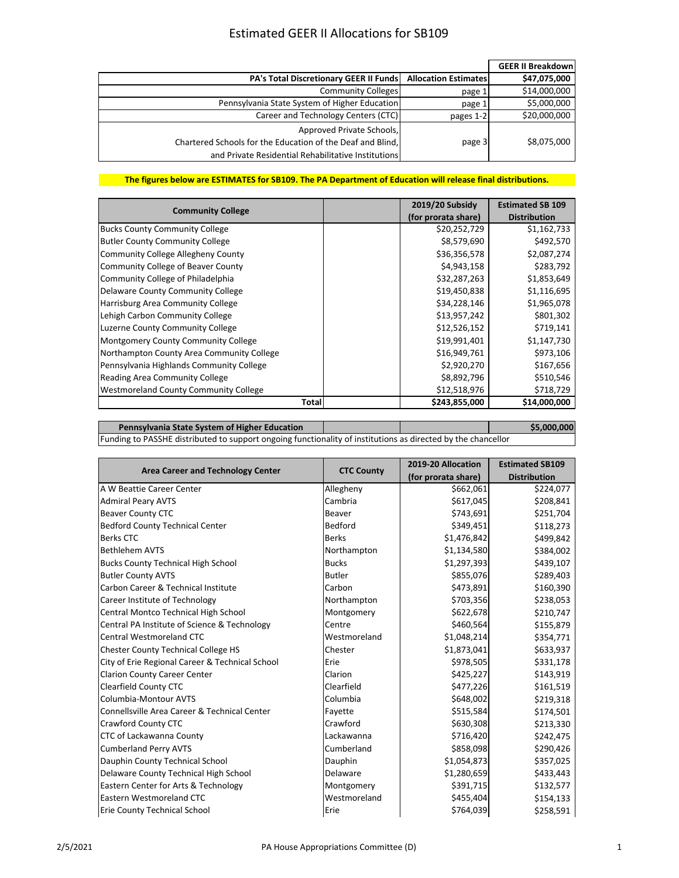## Estimated GEER II Allocations for SB109

|                                                                                                                                                |                             | <b>GEER II Breakdown</b> |
|------------------------------------------------------------------------------------------------------------------------------------------------|-----------------------------|--------------------------|
| <b>PA's Total Discretionary GEER II Funds</b>                                                                                                  | <b>Allocation Estimates</b> | \$47,075,000             |
| <b>Community Colleges</b>                                                                                                                      | page 1                      | \$14,000,000             |
| Pennsylvania State System of Higher Education                                                                                                  | page 1                      | \$5,000,000              |
| Career and Technology Centers (CTC)                                                                                                            | pages 1-2                   | \$20,000,000             |
| Approved Private Schools,<br>Chartered Schools for the Education of the Deaf and Blind,<br>and Private Residential Rehabilitative Institutions | page 3                      | \$8,075,000              |

## **The figures below are ESTIMATES for SB109. The PA Department of Education will release final distributions.**

| <b>Community College</b>                  | 2019/20 Subsidy     | <b>Estimated SB 109</b> |
|-------------------------------------------|---------------------|-------------------------|
|                                           | (for prorata share) | <b>Distribution</b>     |
| <b>Bucks County Community College</b>     | \$20,252,729        | \$1,162,733             |
| <b>Butler County Community College</b>    | \$8,579,690         | \$492,570               |
| <b>Community College Allegheny County</b> | \$36,356,578        | \$2,087,274             |
| Community College of Beaver County        | \$4,943,158         | \$283,792               |
| Community College of Philadelphia         | \$32,287,263        | \$1,853,649             |
| Delaware County Community College         | \$19,450,838        | \$1,116,695             |
| Harrisburg Area Community College         | \$34,228,146        | \$1,965,078             |
| Lehigh Carbon Community College           | \$13,957,242        | \$801,302               |
| Luzerne County Community College          | \$12,526,152        | \$719,141               |
| Montgomery County Community College       | \$19,991,401        | \$1,147,730             |
| Northampton County Area Community College | \$16,949,761        | \$973,106               |
| Pennsylvania Highlands Community College  | \$2,920,270         | \$167,656               |
| Reading Area Community College            | \$8,892,796         | \$510,546               |
| Westmoreland County Community College     | \$12,518,976        | \$718,729               |
| Total                                     | \$243,855,000       | \$14,000,000            |

| <b>Pennsylvania State System of Higher Education</b>                                                         |  |  | \$5,000,000 |
|--------------------------------------------------------------------------------------------------------------|--|--|-------------|
| Funding to PASSHE distributed to support ongoing functionality of institutions as directed by the chancellor |  |  |             |

| <b>Area Career and Technology Center</b>        | <b>CTC County</b> | 2019-20 Allocation  | <b>Estimated SB109</b> |
|-------------------------------------------------|-------------------|---------------------|------------------------|
|                                                 |                   | (for prorata share) | <b>Distribution</b>    |
| A W Beattie Career Center                       | Allegheny         | \$662,061           | \$224,077              |
| <b>Admiral Peary AVTS</b>                       | Cambria           | \$617,045           | \$208,841              |
| <b>Beaver County CTC</b>                        | Beaver            | \$743,691           | \$251,704              |
| <b>Bedford County Technical Center</b>          | Bedford           | \$349,451           | \$118,273              |
| <b>Berks CTC</b>                                | <b>Berks</b>      | \$1,476,842         | \$499,842              |
| <b>Bethlehem AVTS</b>                           | Northampton       | \$1,134,580         | \$384,002              |
| <b>Bucks County Technical High School</b>       | <b>Bucks</b>      | \$1,297,393         | \$439,107              |
| <b>Butler County AVTS</b>                       | <b>Butler</b>     | \$855,076           | \$289,403              |
| Carbon Career & Technical Institute             | Carbon            | \$473,891           | \$160,390              |
| Career Institute of Technology                  | Northampton       | \$703,356           | \$238,053              |
| Central Montco Technical High School            | Montgomery        | \$622,678           | \$210,747              |
| Central PA Institute of Science & Technology    | Centre            | \$460,564           | \$155,879              |
| Central Westmoreland CTC                        | Westmoreland      | \$1,048,214         | \$354,771              |
| <b>Chester County Technical College HS</b>      | Chester           | \$1,873,041         | \$633,937              |
| City of Erie Regional Career & Technical School | Erie              | \$978,505           | \$331,178              |
| <b>Clarion County Career Center</b>             | Clarion           | \$425,227           | \$143,919              |
| <b>Clearfield County CTC</b>                    | Clearfield        | \$477,226           | \$161,519              |
| Columbia-Montour AVTS                           | Columbia          | \$648,002           | \$219,318              |
| Connellsville Area Career & Technical Center    | Favette           | \$515,584           | \$174,501              |
| Crawford County CTC                             | Crawford          | \$630,308           | \$213,330              |
| CTC of Lackawanna County                        | Lackawanna        | \$716,420           | \$242,475              |
| <b>Cumberland Perry AVTS</b>                    | Cumberland        | \$858,098           | \$290,426              |
| Dauphin County Technical School                 | Dauphin           | \$1,054,873         | \$357,025              |
| Delaware County Technical High School           | Delaware          | \$1,280,659         | \$433,443              |
| Eastern Center for Arts & Technology            | Montgomery        | \$391,715           | \$132,577              |
| Eastern Westmoreland CTC                        | Westmoreland      | \$455,404           | \$154,133              |
| <b>Erie County Technical School</b>             | Erie              | \$764,039           | \$258,591              |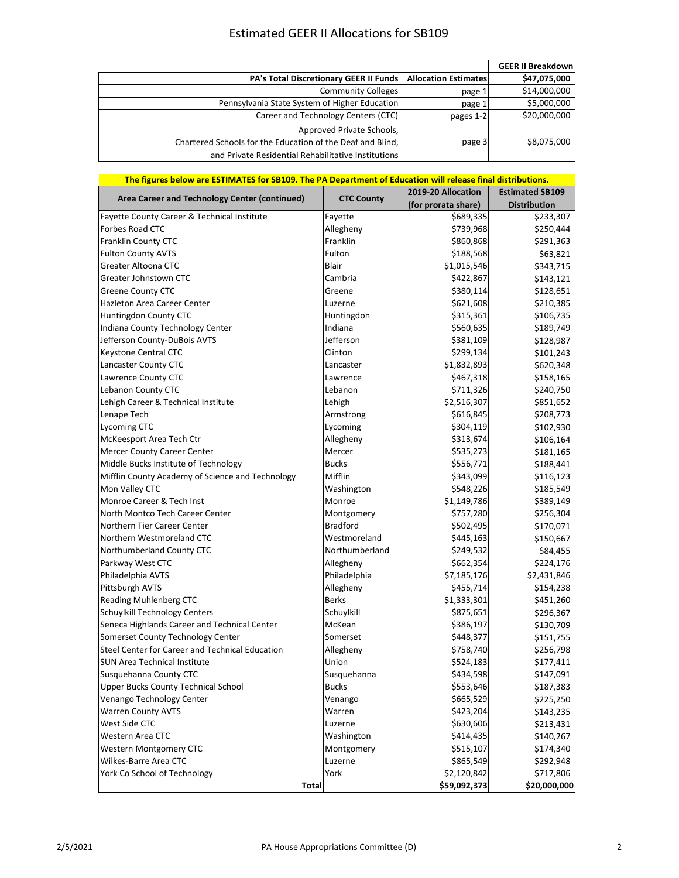## Estimated GEER II Allocations for SB109

|                                                            |                             | <b>GEER II Breakdownl</b> |
|------------------------------------------------------------|-----------------------------|---------------------------|
| PA's Total Discretionary GEER II Funds                     | <b>Allocation Estimates</b> | \$47,075,000              |
| <b>Community Colleges</b>                                  | page 1                      | \$14,000,000              |
| Pennsylvania State System of Higher Education              | page 1                      | \$5,000,000               |
| Career and Technology Centers (CTC)                        | pages 1-2                   | \$20,000,000              |
| Approved Private Schools,                                  |                             |                           |
| Chartered Schools for the Education of the Deaf and Blind, | page 3                      | \$8,075,000               |
| and Private Residential Rehabilitative Institutions        |                             |                           |

| The figures below are ESTIMATES for SB109. The PA Department of Education will release final distributions. |                   |                     |                        |
|-------------------------------------------------------------------------------------------------------------|-------------------|---------------------|------------------------|
| Area Career and Technology Center (continued)                                                               | <b>CTC County</b> | 2019-20 Allocation  | <b>Estimated SB109</b> |
|                                                                                                             |                   | (for prorata share) | <b>Distribution</b>    |
| Fayette County Career & Technical Institute                                                                 | Fayette           | \$689,335           | \$233,307              |
| Forbes Road CTC                                                                                             | Allegheny         | \$739,968           | \$250,444              |
| Franklin County CTC                                                                                         | Franklin          | \$860,868           | \$291,363              |
| <b>Fulton County AVTS</b>                                                                                   | Fulton            | \$188,568           | \$63,821               |
| Greater Altoona CTC                                                                                         | <b>Blair</b>      | \$1,015,546         | \$343,715              |
| Greater Johnstown CTC                                                                                       | Cambria           | \$422,867           | \$143,121              |
| <b>Greene County CTC</b>                                                                                    | Greene            | \$380,114           | \$128,651              |
| Hazleton Area Career Center                                                                                 | Luzerne           | \$621,608           | \$210,385              |
| Huntingdon County CTC                                                                                       | Huntingdon        | \$315,361           | \$106,735              |
| Indiana County Technology Center                                                                            | Indiana           | \$560,635           | \$189,749              |
| Jefferson County-DuBois AVTS                                                                                | Jefferson         | \$381,109           | \$128,987              |
| Keystone Central CTC                                                                                        | Clinton           | \$299,134           | \$101,243              |
| Lancaster County CTC                                                                                        | Lancaster         | \$1,832,893         | \$620,348              |
| Lawrence County CTC                                                                                         | Lawrence          | \$467,318           | \$158,165              |
| Lebanon County CTC                                                                                          | Lebanon           | \$711,326           | \$240,750              |
| Lehigh Career & Technical Institute                                                                         | Lehigh            | \$2,516,307         | \$851,652              |
| Lenape Tech                                                                                                 | Armstrong         | \$616,845           | \$208,773              |
| Lycoming CTC                                                                                                | Lycoming          | \$304,119           | \$102,930              |
| McKeesport Area Tech Ctr                                                                                    | Allegheny         | \$313,674           | \$106,164              |
| Mercer County Career Center                                                                                 | Mercer            | \$535,273           | \$181,165              |
| Middle Bucks Institute of Technology                                                                        | <b>Bucks</b>      | \$556,771           | \$188,441              |
| Mifflin County Academy of Science and Technology                                                            | Mifflin           | \$343,099           | \$116,123              |
| Mon Valley CTC                                                                                              | Washington        | \$548,226           | \$185,549              |
| Monroe Career & Tech Inst                                                                                   | Monroe            | \$1,149,786         | \$389,149              |
| North Montco Tech Career Center                                                                             | Montgomery        | \$757,280           | \$256,304              |
| Northern Tier Career Center                                                                                 | <b>Bradford</b>   | \$502,495           | \$170,071              |
| Northern Westmoreland CTC                                                                                   | Westmoreland      | \$445,163           | \$150,667              |
| Northumberland County CTC                                                                                   | Northumberland    | \$249,532           | \$84,455               |
| Parkway West CTC                                                                                            | Allegheny         | \$662,354           | \$224,176              |
| Philadelphia AVTS                                                                                           | Philadelphia      | \$7,185,176         | \$2,431,846            |
| Pittsburgh AVTS                                                                                             | Allegheny         | \$455,714           | \$154,238              |
| Reading Muhlenberg CTC                                                                                      | <b>Berks</b>      | \$1,333,301         | \$451,260              |
| Schuylkill Technology Centers                                                                               | Schuylkill        | \$875,651           | \$296,367              |
| Seneca Highlands Career and Technical Center                                                                | McKean            | \$386,197           | \$130,709              |
| Somerset County Technology Center                                                                           | Somerset          | \$448,377           | \$151,755              |
| Steel Center for Career and Technical Education                                                             | Allegheny         | \$758,740           | \$256,798              |
| <b>SUN Area Technical Institute</b>                                                                         | Union             | \$524,183           | \$177,411              |
| Susquehanna County CTC                                                                                      | Susquehanna       | \$434,598           | \$147,091              |
| <b>Upper Bucks County Technical School</b>                                                                  | <b>Bucks</b>      | \$553,646           | \$187,383              |
| Venango Technology Center                                                                                   | Venango           | \$665,529           | \$225,250              |
| <b>Warren County AVTS</b>                                                                                   | Warren            | \$423,204           | \$143,235              |
| West Side CTC                                                                                               | Luzerne           | \$630,606           | \$213,431              |
| Western Area CTC                                                                                            | Washington        | \$414,435           | \$140,267              |
| Western Montgomery CTC                                                                                      | Montgomery        | \$515,107           | \$174,340              |
| Wilkes-Barre Area CTC                                                                                       | Luzerne           | \$865,549           | \$292,948              |
| York Co School of Technology                                                                                | York              | \$2,120,842         | \$717,806              |
| <b>Total</b>                                                                                                |                   | \$59,092,373        | \$20,000,000           |